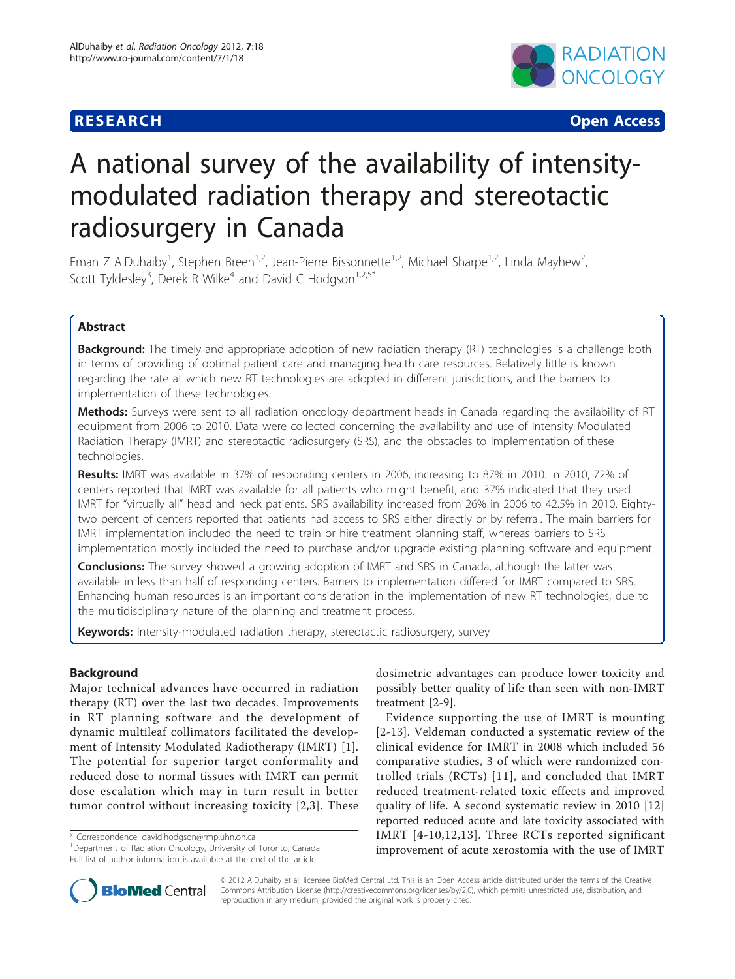## **RESEARCH CHRISTIAN CONSUMING CONTRACT CONSUMING CONSUMING CONSUMING CONSUMING CONSUMING CONSUMING CONSUMING CO**



# A national survey of the availability of intensitymodulated radiation therapy and stereotactic radiosurgery in Canada

Eman Z AlDuhaiby<sup>1</sup>, Stephen Breen<sup>1,2</sup>, Jean-Pierre Bissonnette<sup>1,2</sup>, Michael Sharpe<sup>1,2</sup>, Linda Mayhew<sup>2</sup> , Scott Tyldesley<sup>3</sup>, Derek R Wilke<sup>4</sup> and David C Hodgson<sup>1,2,5\*</sup>

## Abstract

**Background:** The timely and appropriate adoption of new radiation therapy (RT) technologies is a challenge both in terms of providing of optimal patient care and managing health care resources. Relatively little is known regarding the rate at which new RT technologies are adopted in different jurisdictions, and the barriers to implementation of these technologies.

Methods: Surveys were sent to all radiation oncology department heads in Canada regarding the availability of RT equipment from 2006 to 2010. Data were collected concerning the availability and use of Intensity Modulated Radiation Therapy (IMRT) and stereotactic radiosurgery (SRS), and the obstacles to implementation of these technologies.

Results: IMRT was available in 37% of responding centers in 2006, increasing to 87% in 2010. In 2010, 72% of centers reported that IMRT was available for all patients who might benefit, and 37% indicated that they used IMRT for "virtually all" head and neck patients. SRS availability increased from 26% in 2006 to 42.5% in 2010. Eightytwo percent of centers reported that patients had access to SRS either directly or by referral. The main barriers for IMRT implementation included the need to train or hire treatment planning staff, whereas barriers to SRS implementation mostly included the need to purchase and/or upgrade existing planning software and equipment.

**Conclusions:** The survey showed a growing adoption of IMRT and SRS in Canada, although the latter was available in less than half of responding centers. Barriers to implementation differed for IMRT compared to SRS. Enhancing human resources is an important consideration in the implementation of new RT technologies, due to the multidisciplinary nature of the planning and treatment process.

Keywords: intensity-modulated radiation therapy, stereotactic radiosurgery, survey

## Background

Major technical advances have occurred in radiation therapy (RT) over the last two decades. Improvements in RT planning software and the development of dynamic multileaf collimators facilitated the development of Intensity Modulated Radiotherapy (IMRT) [[1](#page-4-0)]. The potential for superior target conformality and reduced dose to normal tissues with IMRT can permit dose escalation which may in turn result in better tumor control without increasing toxicity [\[2,](#page-4-0)[3](#page-5-0)]. These

\* Correspondence: [david.hodgson@rmp.uhn.on.ca](mailto:david.hodgson@rmp.uhn.on.ca)

<sup>1</sup>Department of Radiation Oncology, University of Toronto, Canada Full list of author information is available at the end of the article



Evidence supporting the use of IMRT is mounting [[2](#page-4-0)-[13\]](#page-5-0). Veldeman conducted a systematic review of the clinical evidence for IMRT in 2008 which included 56 comparative studies, 3 of which were randomized controlled trials (RCTs) [[11\]](#page-5-0), and concluded that IMRT reduced treatment-related toxic effects and improved quality of life. A second systematic review in 2010 [\[12](#page-5-0)] reported reduced acute and late toxicity associated with IMRT [[4-10,12,13](#page-5-0)]. Three RCTs reported significant improvement of acute xerostomia with the use of IMRT



© 2012 AlDuhaiby et al; licensee BioMed Central Ltd. This is an Open Access article distributed under the terms of the Creative Commons Attribution License [\(http://creativecommons.org/licenses/by/2.0](http://creativecommons.org/licenses/by/2.0)), which permits unrestricted use, distribution, and reproduction in any medium, provided the original work is properly cited.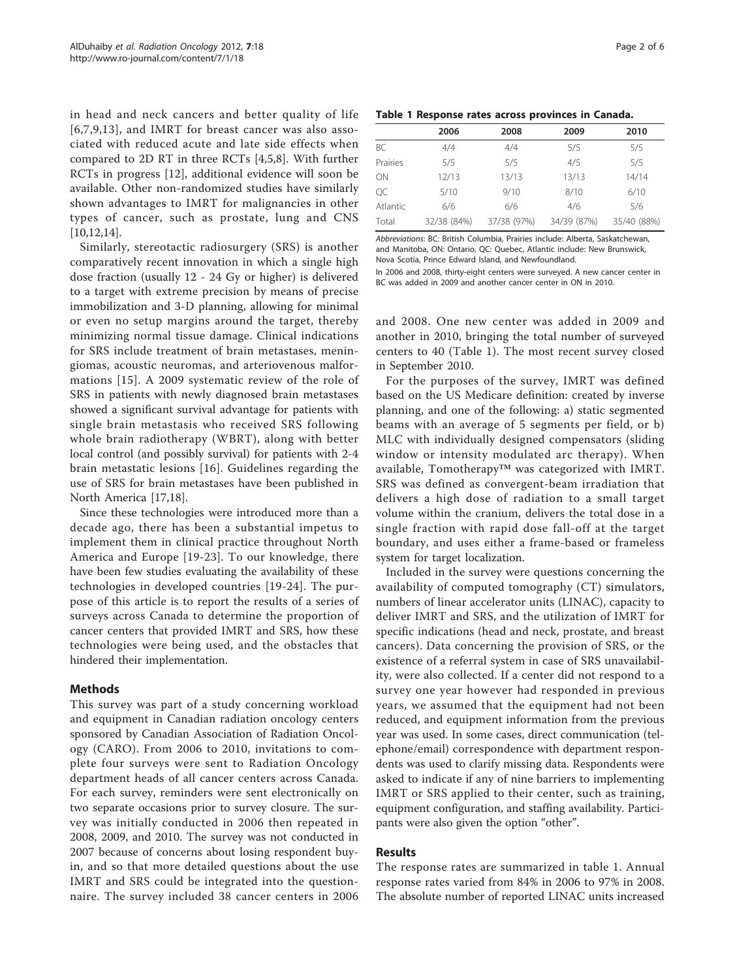in head and neck cancers and better quality of life [[6](#page-5-0),[7,9](#page-5-0),[13](#page-5-0)], and IMRT for breast cancer was also associated with reduced acute and late side effects when compared to 2D RT in three RCTs [[4](#page-5-0),[5,8\]](#page-5-0). With further RCTs in progress [[12\]](#page-5-0), additional evidence will soon be available. Other non-randomized studies have similarly shown advantages to IMRT for malignancies in other types of cancer, such as prostate, lung and CNS [[10,12,14](#page-5-0)].

Similarly, stereotactic radiosurgery (SRS) is another comparatively recent innovation in which a single high dose fraction (usually 12 - 24 Gy or higher) is delivered to a target with extreme precision by means of precise immobilization and 3-D planning, allowing for minimal or even no setup margins around the target, thereby minimizing normal tissue damage. Clinical indications for SRS include treatment of brain metastases, meningiomas, acoustic neuromas, and arteriovenous malformations [[15](#page-5-0)]. A 2009 systematic review of the role of SRS in patients with newly diagnosed brain metastases showed a significant survival advantage for patients with single brain metastasis who received SRS following whole brain radiotherapy (WBRT), along with better local control (and possibly survival) for patients with 2-4 brain metastatic lesions [[16](#page-5-0)]. Guidelines regarding the use of SRS for brain metastases have been published in North America [\[17,18](#page-5-0)].

Since these technologies were introduced more than a decade ago, there has been a substantial impetus to implement them in clinical practice throughout North America and Europe [[19-23\]](#page-5-0). To our knowledge, there have been few studies evaluating the availability of these technologies in developed countries [\[19-24\]](#page-5-0). The purpose of this article is to report the results of a series of surveys across Canada to determine the proportion of cancer centers that provided IMRT and SRS, how these technologies were being used, and the obstacles that hindered their implementation.

## Methods

This survey was part of a study concerning workload and equipment in Canadian radiation oncology centers sponsored by Canadian Association of Radiation Oncology (CARO). From 2006 to 2010, invitations to complete four surveys were sent to Radiation Oncology department heads of all cancer centers across Canada. For each survey, reminders were sent electronically on two separate occasions prior to survey closure. The survey was initially conducted in 2006 then repeated in 2008, 2009, and 2010. The survey was not conducted in 2007 because of concerns about losing respondent buyin, and so that more detailed questions about the use IMRT and SRS could be integrated into the questionnaire. The survey included 38 cancer centers in 2006

|  |  |  |  |  | Table 1 Response rates across provinces in Canada. |  |  |
|--|--|--|--|--|----------------------------------------------------|--|--|
|--|--|--|--|--|----------------------------------------------------|--|--|

|          | 2006        | 2008        | 2009        | 2010        |
|----------|-------------|-------------|-------------|-------------|
| BC       | 4/4         | 4/4         | 5/5         | 5/5         |
| Prairies | 5/5         | 5/5         | 4/5         | 5/5         |
| ON       | 12/13       | 13/13       | 13/13       | 14/14       |
| QC       | 5/10        | 9/10        | 8/10        | 6/10        |
| Atlantic | 6/6         | 6/6         | 4/6         | 5/6         |
| Total    | 32/38 (84%) | 37/38 (97%) | 34/39 (87%) | 35/40 (88%) |

Abbreviations: BC: British Columbia, Prairies include: Alberta, Saskatchewan, and Manitoba, ON: Ontario, QC: Quebec, Atlantic include: New Brunswick, Nova Scotia, Prince Edward Island, and Newfoundland.

In 2006 and 2008, thirty-eight centers were surveyed. A new cancer center in BC was added in 2009 and another cancer center in ON in 2010.

and 2008. One new center was added in 2009 and another in 2010, bringing the total number of surveyed centers to 40 (Table 1). The most recent survey closed in September 2010.

For the purposes of the survey, IMRT was defined based on the US Medicare definition: created by inverse planning, and one of the following: a) static segmented beams with an average of 5 segments per field, or b) MLC with individually designed compensators (sliding window or intensity modulated arc therapy). When available, Tomotherapy™ was categorized with IMRT. SRS was defined as convergent-beam irradiation that delivers a high dose of radiation to a small target volume within the cranium, delivers the total dose in a single fraction with rapid dose fall-off at the target boundary, and uses either a frame-based or frameless system for target localization.

Included in the survey were questions concerning the availability of computed tomography (CT) simulators, numbers of linear accelerator units (LINAC), capacity to deliver IMRT and SRS, and the utilization of IMRT for specific indications (head and neck, prostate, and breast cancers). Data concerning the provision of SRS, or the existence of a referral system in case of SRS unavailability, were also collected. If a center did not respond to a survey one year however had responded in previous years, we assumed that the equipment had not been reduced, and equipment information from the previous year was used. In some cases, direct communication (telephone/email) correspondence with department respondents was used to clarify missing data. Respondents were asked to indicate if any of nine barriers to implementing IMRT or SRS applied to their center, such as training, equipment configuration, and staffing availability. Participants were also given the option "other".

## Results

The response rates are summarized in table 1. Annual response rates varied from 84% in 2006 to 97% in 2008. The absolute number of reported LINAC units increased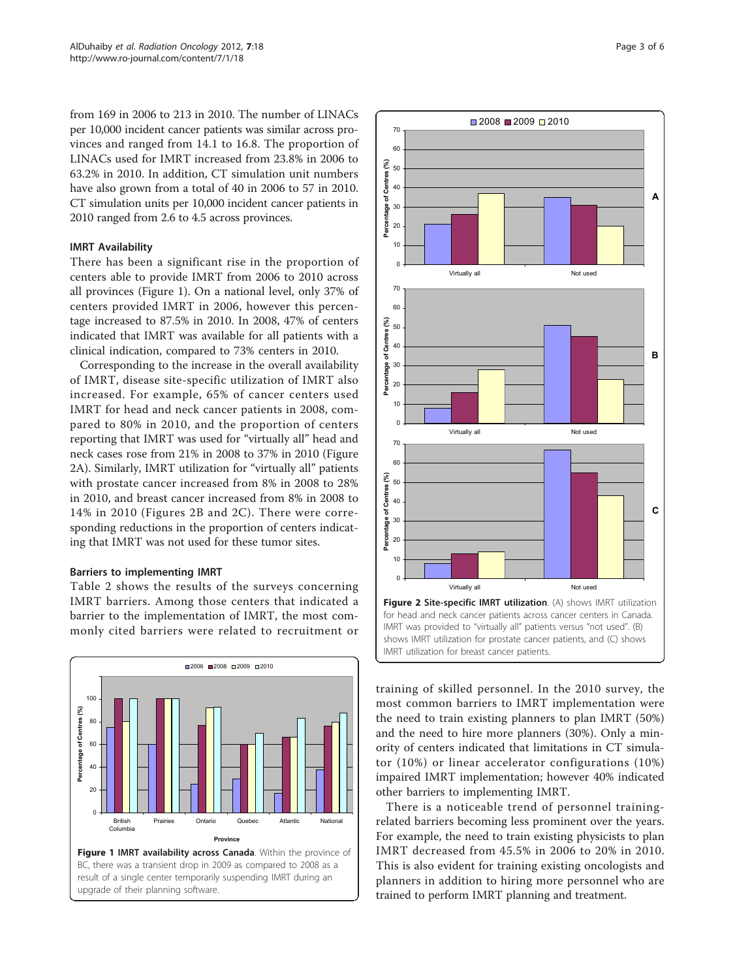from 169 in 2006 to 213 in 2010. The number of LINACs per 10,000 incident cancer patients was similar across provinces and ranged from 14.1 to 16.8. The proportion of LINACs used for IMRT increased from 23.8% in 2006 to 63.2% in 2010. In addition, CT simulation unit numbers have also grown from a total of 40 in 2006 to 57 in 2010. CT simulation units per 10,000 incident cancer patients in 2010 ranged from 2.6 to 4.5 across provinces.

## IMRT Availability

There has been a significant rise in the proportion of centers able to provide IMRT from 2006 to 2010 across all provinces (Figure 1). On a national level, only 37% of centers provided IMRT in 2006, however this percentage increased to 87.5% in 2010. In 2008, 47% of centers indicated that IMRT was available for all patients with a clinical indication, compared to 73% centers in 2010.

Corresponding to the increase in the overall availability of IMRT, disease site-specific utilization of IMRT also increased. For example, 65% of cancer centers used IMRT for head and neck cancer patients in 2008, compared to 80% in 2010, and the proportion of centers reporting that IMRT was used for "virtually all" head and neck cases rose from 21% in 2008 to 37% in 2010 (Figure 2A). Similarly, IMRT utilization for "virtually all" patients with prostate cancer increased from 8% in 2008 to 28% in 2010, and breast cancer increased from 8% in 2008 to 14% in 2010 (Figures 2B and 2C). There were corresponding reductions in the proportion of centers indicating that IMRT was not used for these tumor sites.

## Barriers to implementing IMRT

Table [2](#page-3-0) shows the results of the surveys concerning IMRT barriers. Among those centers that indicated a barrier to the implementation of IMRT, the most commonly cited barriers were related to recruitment or





training of skilled personnel. In the 2010 survey, the most common barriers to IMRT implementation were the need to train existing planners to plan IMRT (50%) and the need to hire more planners (30%). Only a minority of centers indicated that limitations in CT simulator (10%) or linear accelerator configurations (10%) impaired IMRT implementation; however 40% indicated other barriers to implementing IMRT.

There is a noticeable trend of personnel trainingrelated barriers becoming less prominent over the years. For example, the need to train existing physicists to plan IMRT decreased from 45.5% in 2006 to 20% in 2010. This is also evident for training existing oncologists and planners in addition to hiring more personnel who are trained to perform IMRT planning and treatment.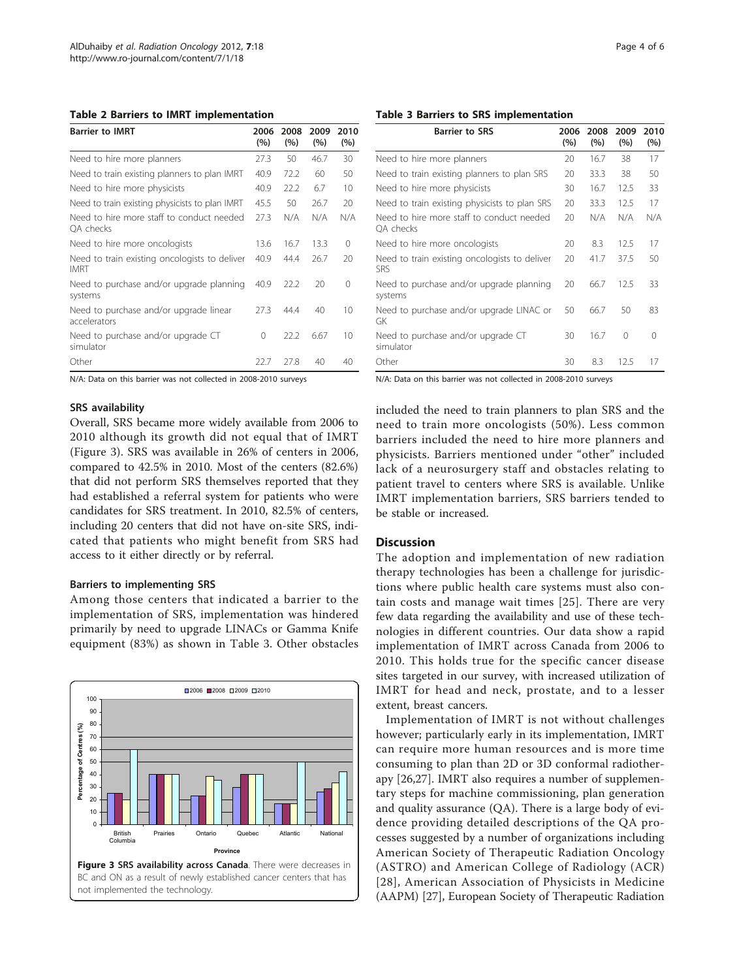<span id="page-3-0"></span>Table 2 Barriers to IMRT implementation

| <b>Barrier to IMRT</b>                                       | 2006<br>(%) | 2008<br>(%) | 2009<br>(%) | 2010<br>(%) |
|--------------------------------------------------------------|-------------|-------------|-------------|-------------|
| Need to hire more planners                                   | 27.3        | 50          | 46.7        | 30          |
| Need to train existing planners to plan IMRT                 | 40.9        | 72.2        | 60          | 50          |
| Need to hire more physicists                                 | 40.9        | 22.2        | 6.7         | 10          |
| Need to train existing physicists to plan IMRT               | 45.5        | 50          | 26.7        | 20          |
| Need to hire more staff to conduct needed<br>OA checks       | 27.3        | N/A         | N/A         | N/A         |
| Need to hire more oncologists                                | 13.6        | 16.7        | 13.3        | 0           |
| Need to train existing oncologists to deliver<br><b>IMRT</b> | 40.9        | 44.4        | 26.7        | 20          |
| Need to purchase and/or upgrade planning<br>systems          | 40.9        | 22.2        | 20          | $\Omega$    |
| Need to purchase and/or upgrade linear<br>accelerators       | 27.3        | 44.4        | 40          | 10          |
| Need to purchase and/or upgrade CT<br>simulator              | 0           | 22.2        | 6.67        | 10          |
| Other                                                        | 22.7        | 27.8        | 40          | 40          |

N/A: Data on this barrier was not collected in 2008-2010 surveys

## SRS availability

Overall, SRS became more widely available from 2006 to 2010 although its growth did not equal that of IMRT (Figure 3). SRS was available in 26% of centers in 2006, compared to 42.5% in 2010. Most of the centers (82.6%) that did not perform SRS themselves reported that they had established a referral system for patients who were candidates for SRS treatment. In 2010, 82.5% of centers, including 20 centers that did not have on-site SRS, indicated that patients who might benefit from SRS had access to it either directly or by referral.

#### Barriers to implementing SRS

Among those centers that indicated a barrier to the implementation of SRS, implementation was hindered primarily by need to upgrade LINACs or Gamma Knife equipment (83%) as shown in Table 3. Other obstacles

#### $\Box$ 2006  $\Box$ 2008  $\Box$ 2010 100 90 80 itage of Centres (%) **Percentage of Centres (%)** 70  $60$ 50 40 Percen 30 20 10  $\overline{0}$ **British** Prairies Ontario Quebec Atlantic National **Columbia Province** Figure 3 SRS availability across Canada. There were decreases in



| <b>Barrier to SRS</b>                                       | 2006<br>(%) | 2008<br>(%) | 2009<br>(%) | 2010<br>(%) |
|-------------------------------------------------------------|-------------|-------------|-------------|-------------|
| Need to hire more planners                                  | 20          | 16.7        | 38          | 17          |
| Need to train existing planners to plan SRS                 | 20          | 33.3        | 38          | 50          |
| Need to hire more physicists                                | 30          | 16.7        | 12.5        | 33          |
| Need to train existing physicists to plan SRS               | 20          | 33.3        | 12.5        | 17          |
| Need to hire more staff to conduct needed<br>OA checks      | 20          | N/A         | N/A         | N/A         |
| Need to hire more oncologists                               | 20          | 8.3         | 12.5        | 17          |
| Need to train existing oncologists to deliver<br><b>SRS</b> | 20          | 41.7        | 37.5        | 50          |
| Need to purchase and/or upgrade planning<br>systems         | 20          | 66.7        | 12.5        | 33          |
| Need to purchase and/or upgrade LINAC or<br>GK              | 50          | 66.7        | 50          | 83          |
| Need to purchase and/or upgrade CT<br>simulator             | 30          | 16.7        | $\Omega$    | $\Omega$    |
| Other                                                       | 30          | 8.3         | 12.5        | 17          |

N/A: Data on this barrier was not collected in 2008-2010 surveys

included the need to train planners to plan SRS and the need to train more oncologists (50%). Less common barriers included the need to hire more planners and physicists. Barriers mentioned under "other" included lack of a neurosurgery staff and obstacles relating to patient travel to centers where SRS is available. Unlike IMRT implementation barriers, SRS barriers tended to be stable or increased.

### **Discussion**

The adoption and implementation of new radiation therapy technologies has been a challenge for jurisdictions where public health care systems must also contain costs and manage wait times [[25](#page-5-0)]. There are very few data regarding the availability and use of these technologies in different countries. Our data show a rapid implementation of IMRT across Canada from 2006 to 2010. This holds true for the specific cancer disease sites targeted in our survey, with increased utilization of IMRT for head and neck, prostate, and to a lesser extent, breast cancers.

Implementation of IMRT is not without challenges however; particularly early in its implementation, IMRT can require more human resources and is more time consuming to plan than 2D or 3D conformal radiotherapy [[26,27\]](#page-5-0). IMRT also requires a number of supplementary steps for machine commissioning, plan generation and quality assurance (QA). There is a large body of evidence providing detailed descriptions of the QA processes suggested by a number of organizations including American Society of Therapeutic Radiation Oncology (ASTRO) and American College of Radiology (ACR) [[28\]](#page-5-0), American Association of Physicists in Medicine (AAPM) [\[27](#page-5-0)], European Society of Therapeutic Radiation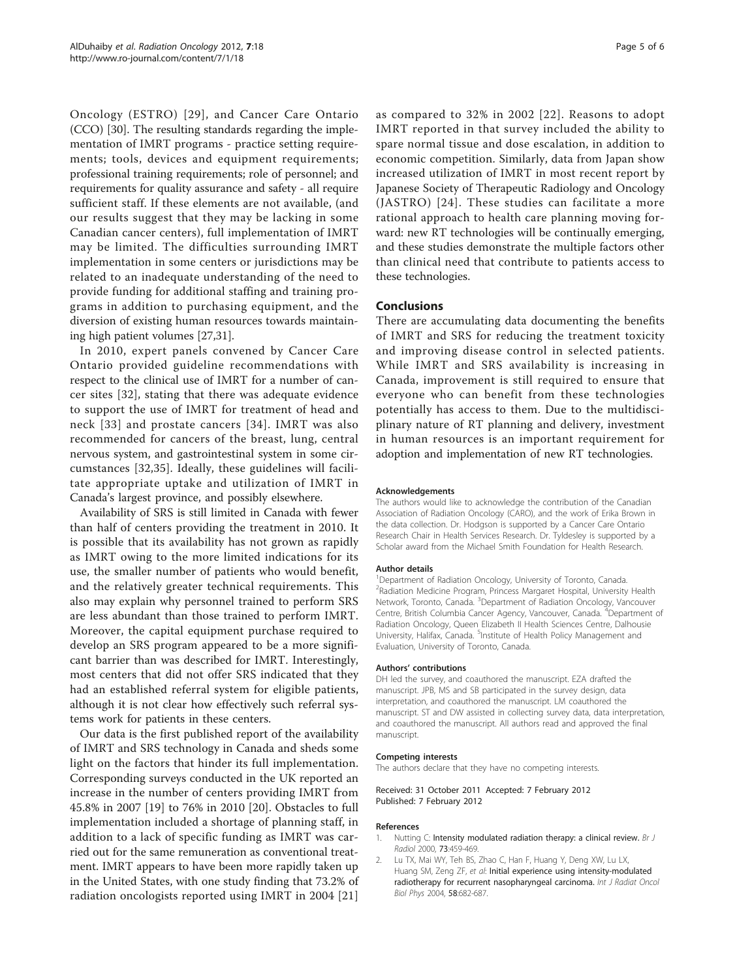<span id="page-4-0"></span>Oncology (ESTRO) [[29](#page-5-0)], and Cancer Care Ontario (CCO) [[30\]](#page-5-0). The resulting standards regarding the implementation of IMRT programs - practice setting requirements; tools, devices and equipment requirements; professional training requirements; role of personnel; and requirements for quality assurance and safety - all require sufficient staff. If these elements are not available, (and our results suggest that they may be lacking in some Canadian cancer centers), full implementation of IMRT may be limited. The difficulties surrounding IMRT implementation in some centers or jurisdictions may be related to an inadequate understanding of the need to provide funding for additional staffing and training programs in addition to purchasing equipment, and the diversion of existing human resources towards maintaining high patient volumes [\[27,31\]](#page-5-0).

In 2010, expert panels convened by Cancer Care Ontario provided guideline recommendations with respect to the clinical use of IMRT for a number of cancer sites [\[32](#page-5-0)], stating that there was adequate evidence to support the use of IMRT for treatment of head and neck [[33](#page-5-0)] and prostate cancers [[34\]](#page-5-0). IMRT was also recommended for cancers of the breast, lung, central nervous system, and gastrointestinal system in some circumstances [[32,35\]](#page-5-0). Ideally, these guidelines will facilitate appropriate uptake and utilization of IMRT in Canada's largest province, and possibly elsewhere.

Availability of SRS is still limited in Canada with fewer than half of centers providing the treatment in 2010. It is possible that its availability has not grown as rapidly as IMRT owing to the more limited indications for its use, the smaller number of patients who would benefit, and the relatively greater technical requirements. This also may explain why personnel trained to perform SRS are less abundant than those trained to perform IMRT. Moreover, the capital equipment purchase required to develop an SRS program appeared to be a more significant barrier than was described for IMRT. Interestingly, most centers that did not offer SRS indicated that they had an established referral system for eligible patients, although it is not clear how effectively such referral systems work for patients in these centers.

Our data is the first published report of the availability of IMRT and SRS technology in Canada and sheds some light on the factors that hinder its full implementation. Corresponding surveys conducted in the UK reported an increase in the number of centers providing IMRT from 45.8% in 2007 [[19\]](#page-5-0) to 76% in 2010 [[20\]](#page-5-0). Obstacles to full implementation included a shortage of planning staff, in addition to a lack of specific funding as IMRT was carried out for the same remuneration as conventional treatment. IMRT appears to have been more rapidly taken up in the United States, with one study finding that 73.2% of radiation oncologists reported using IMRT in 2004 [\[21](#page-5-0)] as compared to 32% in 2002 [[22](#page-5-0)]. Reasons to adopt IMRT reported in that survey included the ability to spare normal tissue and dose escalation, in addition to economic competition. Similarly, data from Japan show increased utilization of IMRT in most recent report by Japanese Society of Therapeutic Radiology and Oncology (JASTRO) [[24](#page-5-0)]. These studies can facilitate a more rational approach to health care planning moving forward: new RT technologies will be continually emerging, and these studies demonstrate the multiple factors other than clinical need that contribute to patients access to these technologies.

## **Conclusions**

There are accumulating data documenting the benefits of IMRT and SRS for reducing the treatment toxicity and improving disease control in selected patients. While IMRT and SRS availability is increasing in Canada, improvement is still required to ensure that everyone who can benefit from these technologies potentially has access to them. Due to the multidisciplinary nature of RT planning and delivery, investment in human resources is an important requirement for adoption and implementation of new RT technologies.

#### Acknowledgements

The authors would like to acknowledge the contribution of the Canadian Association of Radiation Oncology (CARO), and the work of Erika Brown in the data collection. Dr. Hodgson is supported by a Cancer Care Ontario Research Chair in Health Services Research. Dr. Tyldesley is supported by a Scholar award from the Michael Smith Foundation for Health Research.

#### Author details

<sup>1</sup> Department of Radiation Oncology, University of Toronto, Canada. <sup>2</sup>Radiation Medicine Program, Princess Margaret Hospital, University Health Network, Toronto, Canada. <sup>3</sup>Department of Radiation Oncology, Vancouver Centre, British Columbia Cancer Agency, Vancouver, Canada. <sup>4</sup> Department of Radiation Oncology, Queen Elizabeth II Health Sciences Centre, Dalhousie University, Halifax, Canada. <sup>5</sup>Institute of Health Policy Management and Evaluation, University of Toronto, Canada.

#### Authors' contributions

DH led the survey, and coauthored the manuscript. EZA drafted the manuscript. JPB, MS and SB participated in the survey design, data interpretation, and coauthored the manuscript. LM coauthored the manuscript. ST and DW assisted in collecting survey data, data interpretation, and coauthored the manuscript. All authors read and approved the final manuscript.

#### Competing interests

The authors declare that they have no competing interests.

Received: 31 October 2011 Accepted: 7 February 2012 Published: 7 February 2012

#### References

- 1. Nutting C: [Intensity modulated radiation therapy: a clinical review.](http://www.ncbi.nlm.nih.gov/pubmed/10884741?dopt=Abstract) Br J Radiol 2000, 73:459-469.
- 2. Lu TX, Mai WY, Teh BS, Zhao C, Han F, Huang Y, Deng XW, Lu LX, Huang SM, Zeng ZF, et al: [Initial experience using intensity-modulated](http://www.ncbi.nlm.nih.gov/pubmed/14967420?dopt=Abstract) [radiotherapy for recurrent nasopharyngeal carcinoma.](http://www.ncbi.nlm.nih.gov/pubmed/14967420?dopt=Abstract) Int J Radiat Oncol Biol Phys 2004, 58:682-687.